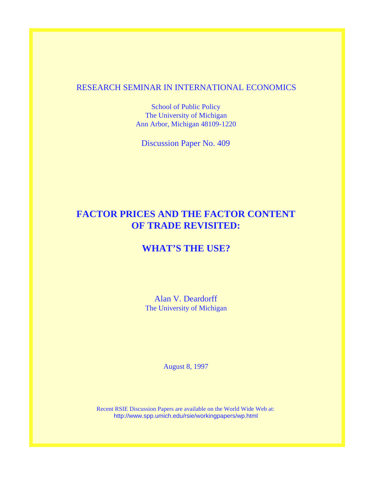## RESEARCH SEMINAR IN INTERNATIONAL ECONOMICS

School of Public Policy The University of Michigan Ann Arbor, Michigan 48109-1220

Discussion Paper No. 409

# **FACTOR PRICES AND THE FACTOR CONTENT OF TRADE REVISITED:**

# **WHAT'S THE USE?**

Alan V. Deardorff The University of Michigan

August 8, 1997

Recent RSIE Discussion Papers are available on the World Wide Web at: http://www.spp.umich.edu/rsie/workingpapers/wp.html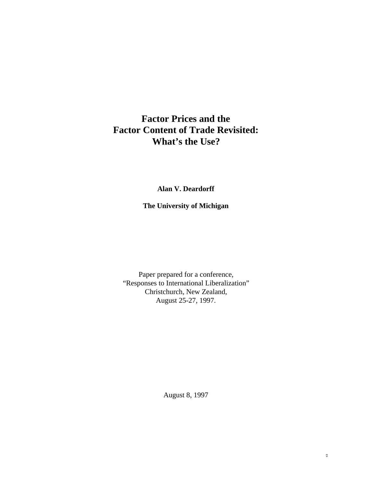# **Factor Prices and the Factor Content of Trade Revisited: What's the Use?**

**Alan V. Deardorff**

**The University of Michigan**

Paper prepared for a conference, "Responses to International Liberalization" Christchurch, New Zealand, August 25-27, 1997.

August 8, 1997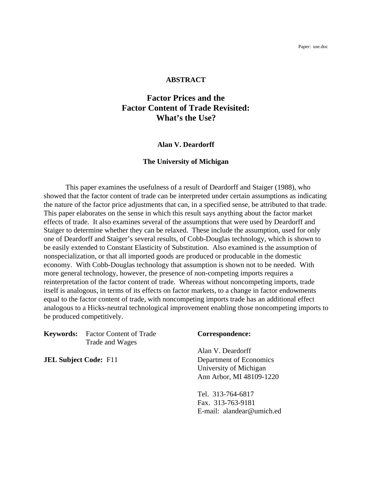Paper: use.doc

## **ABSTRACT**

## **Factor Prices and the Factor Content of Trade Revisited: What's the Use?**

## **Alan V. Deardorff**

#### **The University of Michigan**

This paper examines the usefulness of a result of Deardorff and Staiger (1988), who showed that the factor content of trade can be interpreted under certain assumptions as indicating the nature of the factor price adjustments that can, in a specified sense, be attributed to that trade. This paper elaborates on the sense in which this result says anything about the factor market effects of trade. It also examines several of the assumptions that were used by Deardorff and Staiger to determine whether they can be relaxed. These include the assumption, used for only one of Deardorff and Staiger's several results, of Cobb-Douglas technology, which is shown to be easily extended to Constant Elasticity of Substitution. Also examined is the assumption of nonspecialization, or that all imported goods are produced or producable in the domestic economy. With Cobb-Douglas technology that assumption is shown not to be needed. With more general technology, however, the presence of non-competing imports requires a reinterpretation of the factor content of trade. Whereas without noncompeting imports, trade itself is analogous, in terms of its effects on factor markets, to a change in factor endowments equal to the factor content of trade, with noncompeting imports trade has an additional effect analogous to a Hicks-neutral technological improvement enabling those noncompeting imports to be produced competitively.

**Keywords:** Factor Content of Trade **Correspondence:** Trade and Wages

Alan V. Deardorff **JEL Subject Code:** F11 Department of Economics University of Michigan Ann Arbor, MI 48109-1220

> Tel. 313-764-6817 Fax. 313-763-9181 E-mail: alandear@umich.ed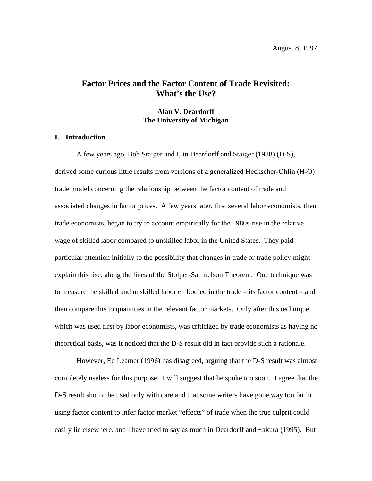## **Factor Prices and the Factor Content of Trade Revisited: What's the Use?**

## **Alan V. Deardorff The University of Michigan**

## **I. Introduction**

A few years ago, Bob Staiger and I, in Deardorff and Staiger (1988) (D-S), derived some curious little results from versions of a generalized Heckscher-Ohlin (H-O) trade model concerning the relationship between the factor content of trade and associated changes in factor prices. A few years later, first several labor economists, then trade economists, began to try to account empirically for the 1980s rise in the relative wage of skilled labor compared to unskilled labor in the United States. They paid particular attention initially to the possibility that changes in trade or trade policy might explain this rise, along the lines of the Stolper-Samuelson Theorem. One technique was to measure the skilled and unskilled labor embodied in the trade – its factor content – and then compare this to quantities in the relevant factor markets. Only after this technique, which was used first by labor economists, was criticized by trade economists as having no theoretical basis, was it noticed that the D-S result did in fact provide such a rationale.

However, Ed Leamer (1996) has disagreed, arguing that the D-S result was almost completely useless for this purpose. I will suggest that he spoke too soon. I agree that the D-S result should be used only with care and that some writers have gone way too far in using factor content to infer factor-market "effects" of trade when the true culprit could easily lie elsewhere, and I have tried to say as much in Deardorff and Hakura (1995). But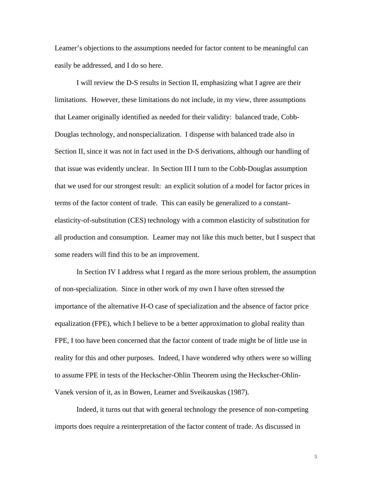Leamer's objections to the assumptions needed for factor content to be meaningful can easily be addressed, and I do so here.

I will review the D-S results in Section II, emphasizing what I agree are their limitations. However, these limitations do not include, in my view, three assumptions that Leamer originally identified as needed for their validity: balanced trade, Cobb-Douglas technology, and nonspecialization. I dispense with balanced trade also in Section II, since it was not in fact used in the D-S derivations, although our handling of that issue was evidently unclear. In Section III I turn to the Cobb-Douglas assumption that we used for our strongest result: an explicit solution of a model for factor prices in terms of the factor content of trade. This can easily be generalized to a constantelasticity-of-substitution (CES) technology with a common elasticity of substitution for all production and consumption. Leamer may not like this much better, but I suspect that some readers will find this to be an improvement.

In Section IV I address what I regard as the more serious problem, the assumption of non-specialization. Since in other work of my own I have often stressed the importance of the alternative H-O case of specialization and the absence of factor price equalization (FPE), which I believe to be a better approximation to global reality than FPE, I too have been concerned that the factor content of trade might be of little use in reality for this and other purposes. Indeed, I have wondered why others were so willing to assume FPE in tests of the Heckscher-Ohlin Theorem using the Heckscher-Ohlin-Vanek version of it, as in Bowen, Leamer and Sveikauskas (1987).

Indeed, it turns out that with general technology the presence of non-competing imports does require a reinterpretation of the factor content of trade. As discussed in

 $\overline{5}$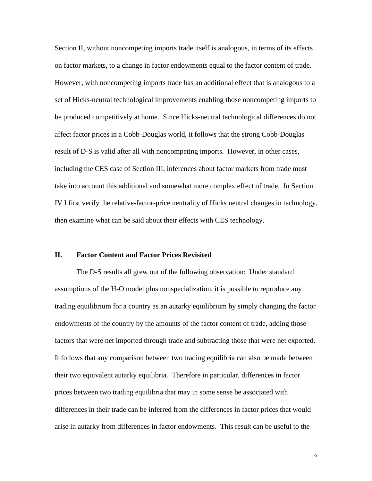Section II, without noncompeting imports trade itself is analogous, in terms of its effects on factor markets, to a change in factor endowments equal to the factor content of trade. However, with noncompeting imports trade has an additional effect that is analogous to a set of Hicks-neutral technological improvements enabling those noncompeting imports to be produced competitively at home. Since Hicks-neutral technological differences do not affect factor prices in a Cobb-Douglas world, it follows that the strong Cobb-Douglas result of D-S is valid after all with noncompeting imports. However, in other cases, including the CES case of Section III, inferences about factor markets from trade must take into account this additional and somewhat more complex effect of trade. In Section IV I first verify the relative-factor-price neutrality of Hicks neutral changes in technology, then examine what can be said about their effects with CES technology.

## **II. Factor Content and Factor Prices Revisited**

The D-S results all grew out of the following observation: Under standard assumptions of the H-O model plus nonspecialization, it is possible to reproduce any trading equilibrium for a country as an autarky equilibrium by simply changing the factor endowments of the country by the amounts of the factor content of trade, adding those factors that were net imported through trade and subtracting those that were net exported. It follows that any comparison between two trading equilibria can also be made between their two equivalent autarky equilibria. Therefore in particular, differences in factor prices between two trading equilibria that may in some sense be associated with differences in their trade can be inferred from the differences in factor prices that would arise in autarky from differences in factor endowments. This result can be useful to the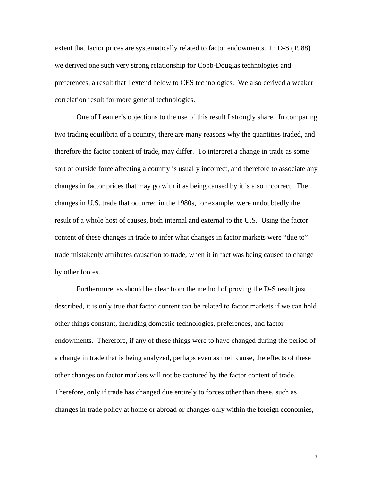extent that factor prices are systematically related to factor endowments. In D-S (1988) we derived one such very strong relationship for Cobb-Douglas technologies and preferences, a result that I extend below to CES technologies. We also derived a weaker correlation result for more general technologies.

One of Leamer's objections to the use of this result I strongly share. In comparing two trading equilibria of a country, there are many reasons why the quantities traded, and therefore the factor content of trade, may differ. To interpret a change in trade as some sort of outside force affecting a country is usually incorrect, and therefore to associate any changes in factor prices that may go with it as being caused by it is also incorrect. The changes in U.S. trade that occurred in the 1980s, for example, were undoubtedly the result of a whole host of causes, both internal and external to the U.S. Using the factor content of these changes in trade to infer what changes in factor markets were "due to" trade mistakenly attributes causation to trade, when it in fact was being caused to change by other forces.

Furthermore, as should be clear from the method of proving the D-S result just described, it is only true that factor content can be related to factor markets if we can hold other things constant, including domestic technologies, preferences, and factor endowments. Therefore, if any of these things were to have changed during the period of a change in trade that is being analyzed, perhaps even as their cause, the effects of these other changes on factor markets will not be captured by the factor content of trade. Therefore, only if trade has changed due entirely to forces other than these, such as changes in trade policy at home or abroad or changes only within the foreign economies,

 $\overline{\jmath}$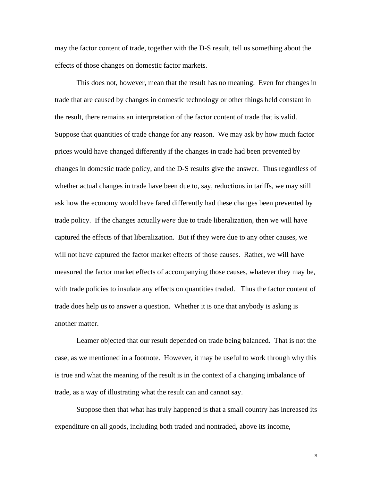may the factor content of trade, together with the D-S result, tell us something about the effects of those changes on domestic factor markets.

This does not, however, mean that the result has no meaning. Even for changes in trade that are caused by changes in domestic technology or other things held constant in the result, there remains an interpretation of the factor content of trade that is valid. Suppose that quantities of trade change for any reason. We may ask by how much factor prices would have changed differently if the changes in trade had been prevented by changes in domestic trade policy, and the D-S results give the answer. Thus regardless of whether actual changes in trade have been due to, say, reductions in tariffs, we may still ask how the economy would have fared differently had these changes been prevented by trade policy. If the changes actually *were* due to trade liberalization, then we will have captured the effects of that liberalization. But if they were due to any other causes, we will not have captured the factor market effects of those causes. Rather, we will have measured the factor market effects of accompanying those causes, whatever they may be, with trade policies to insulate any effects on quantities traded. Thus the factor content of trade does help us to answer a question. Whether it is one that anybody is asking is another matter.

Leamer objected that our result depended on trade being balanced. That is not the case, as we mentioned in a footnote. However, it may be useful to work through why this is true and what the meaning of the result is in the context of a changing imbalance of trade, as a way of illustrating what the result can and cannot say.

Suppose then that what has truly happened is that a small country has increased its expenditure on all goods, including both traded and nontraded, above its income,

 $\,$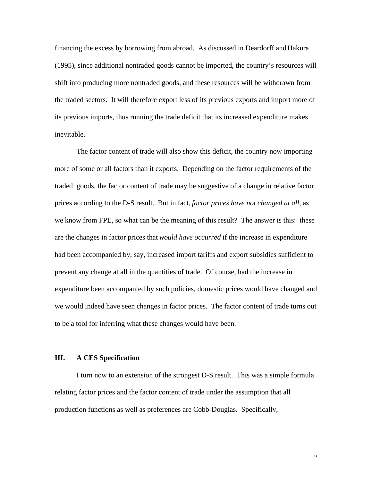financing the excess by borrowing from abroad. As discussed in Deardorff and Hakura (1995), since additional nontraded goods cannot be imported, the country's resources will shift into producing more nontraded goods, and these resources will be withdrawn from the traded sectors. It will therefore export less of its previous exports and import more of its previous imports, thus running the trade deficit that its increased expenditure makes inevitable.

The factor content of trade will also show this deficit, the country now importing more of some or all factors than it exports. Depending on the factor requirements of the traded goods, the factor content of trade may be suggestive of a change in relative factor prices according to the D-S result. But in fact, *factor prices have not changed at all*, as we know from FPE, so what can be the meaning of this result? The answer is this: these are the changes in factor prices that *would have occurred* if the increase in expenditure had been accompanied by, say, increased import tariffs and export subsidies sufficient to prevent any change at all in the quantities of trade. Of course, had the increase in expenditure been accompanied by such policies, domestic prices would have changed and we would indeed have seen changes in factor prices. The factor content of trade turns out to be a tool for inferring what these changes would have been.

#### **III. A CES Specification**

I turn now to an extension of the strongest D-S result. This was a simple formula relating factor prices and the factor content of trade under the assumption that all production functions as well as preferences are Cobb-Douglas. Specifically,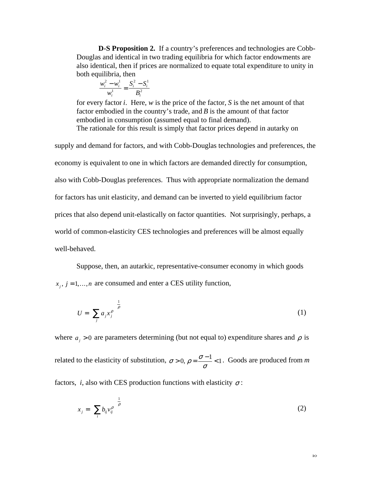**D-S Proposition 2.** If a country's preferences and technologies are Cobb-Douglas and identical in two trading equilibria for which factor endowments are also identical, then if prices are normalized to equate total expenditure to unity in both equilibria, then

$$
\frac{w_i^2 - w_i^1}{w_i^1} = \frac{S_i^2 - S_i^1}{B_i^2}
$$

for every factor *i*. Here, *w* is the price of the factor, *S* is the net amount of that factor embodied in the country's trade, and *B* is the amount of that factor embodied in consumption (assumed equal to final demand).

The rationale for this result is simply that factor prices depend in autarky on

supply and demand for factors, and with Cobb-Douglas technologies and preferences, the economy is equivalent to one in which factors are demanded directly for consumption, also with Cobb-Douglas preferences. Thus with appropriate normalization the demand for factors has unit elasticity, and demand can be inverted to yield equilibrium factor prices that also depend unit-elastically on factor quantities. Not surprisingly, perhaps, a world of common-elasticity CES technologies and preferences will be almost equally well-behaved.

Suppose, then, an autarkic, representative-consumer economy in which goods  $x_i$ ,  $j = 1, \ldots, n$  are consumed and enter a CES utility function,

$$
U = \left(\sum_{j} a_{j} x_{j}^{\rho}\right)^{\frac{1}{\rho}}
$$
 (1)

where  $a_i > 0$  are parameters determining (but not equal to) expenditure shares and  $\rho$  is related to the elasticity of substitution,  $\sigma > 0$ ,  $\rho = \frac{\sigma}{\sigma}$  $> 0, \rho = \frac{\sigma - 1}{\sigma} < 1.$  Goods are produced from *m* 

factors, *i*, also with CES production functions with elasticity  $\sigma$ :

$$
x_j = \left(\sum_i b_{ij} v_{ij}^\rho\right)^{\frac{1}{\rho}}
$$
 (2)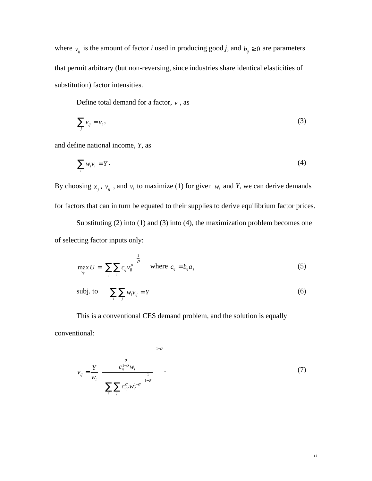where  $v_{ij}$  is the amount of factor *i* used in producing good *j*, and  $b_{ij} \ge 0$  are parameters that permit arbitrary (but non-reversing, since industries share identical elasticities of substitution) factor intensities.

Define total demand for a factor,  $v_i$ , as

$$
\sum_{j} v_{ij} = v_i, \tag{3}
$$

and define national income, *Y*, as

$$
\sum_{i} w_i v_i = Y. \tag{4}
$$

By choosing  $x_j$ ,  $v_{ij}$ , and  $v_i$  to maximize (1) for given  $w_i$  and *Y*, we can derive demands for factors that can in turn be equated to their supplies to derive equilibrium factor prices.

Substituting (2) into (1) and (3) into (4), the maximization problem becomes one of selecting factor inputs only:

$$
\max_{v_{ij}} U = \left[ \sum_{j} \sum_{i} c_{ij} v_{ij}^{\rho} \right]^{\frac{1}{\rho}} \quad \text{where } c_{ij} = b_{ij} a_{j}
$$
 (5)

$$
\text{subj. to} \qquad \sum_{i} \sum_{j} w_i v_{ij} = Y \tag{6}
$$

This is a conventional CES demand problem, and the solution is equally conventional:

$$
v_{ij} = \frac{Y}{w_i} \left( \frac{\frac{\sigma}{c_{ij}^{1-\sigma}w_i}}{\left[ \sum_{i'} \sum_{j'} c_{ij'}^{\sigma} w_{i'}^{1-\sigma} \right]^{1-\sigma}} \right)^{1-\sigma}.
$$
\n(7)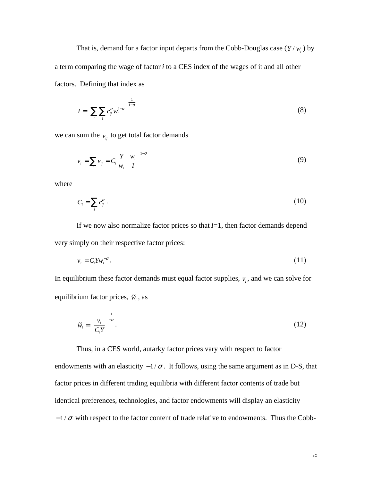That is, demand for a factor input departs from the Cobb-Douglas case  $(Y/w_i)$  by a term comparing the wage of factor *i* to a CES index of the wages of it and all other factors. Defining that index as

$$
I = \left[ \sum_{i} \sum_{j} c_{ij}^{\sigma} w_{i}^{1-\sigma} \right]^{\frac{1}{1-\sigma}}
$$
(8)

we can sum the  $v_{ij}$  to get total factor demands

$$
v_i = \sum_i v_{ij} = C_i \frac{Y}{w_i} \left(\frac{w_i}{I}\right)^{1-\sigma}
$$
\n(9)

where

$$
C_i = \sum_j c_{ij}^{\sigma} \,. \tag{10}
$$

If we now also normalize factor prices so that *I*=1, then factor demands depend very simply on their respective factor prices:

$$
v_i = C_i Y w_i^{-\sigma}.
$$
\n<sup>(11)</sup>

In equilibrium these factor demands must equal factor supplies,  $\bar{v}_i$ , and we can solve for equilibrium factor prices,  $\tilde{w}_i$ , as

$$
\widetilde{w}_i = \left(\frac{\overline{v}_i}{C_i Y}\right)^{\frac{1}{-\sigma}}.\tag{12}
$$

Thus, in a CES world, autarky factor prices vary with respect to factor endowments with an elasticity  $-1/\sigma$ . It follows, using the same argument as in D-S, that factor prices in different trading equilibria with different factor contents of trade but identical preferences, technologies, and factor endowments will display an elasticity  $-1/\sigma$  with respect to the factor content of trade relative to endowments. Thus the Cobb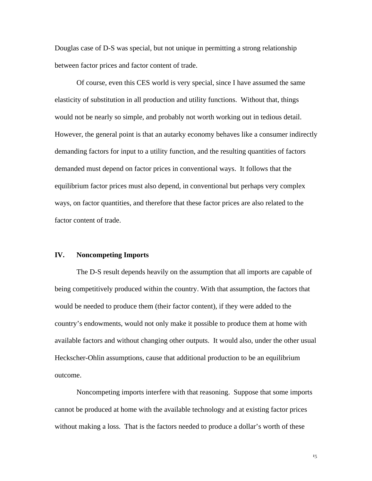Douglas case of D-S was special, but not unique in permitting a strong relationship between factor prices and factor content of trade.

Of course, even this CES world is very special, since I have assumed the same elasticity of substitution in all production and utility functions. Without that, things would not be nearly so simple, and probably not worth working out in tedious detail. However, the general point is that an autarky economy behaves like a consumer indirectly demanding factors for input to a utility function, and the resulting quantities of factors demanded must depend on factor prices in conventional ways. It follows that the equilibrium factor prices must also depend, in conventional but perhaps very complex ways, on factor quantities, and therefore that these factor prices are also related to the factor content of trade.

## **IV. Noncompeting Imports**

The D-S result depends heavily on the assumption that all imports are capable of being competitively produced within the country. With that assumption, the factors that would be needed to produce them (their factor content), if they were added to the country's endowments, would not only make it possible to produce them at home with available factors and without changing other outputs. It would also, under the other usual Heckscher-Ohlin assumptions, cause that additional production to be an equilibrium outcome.

Noncompeting imports interfere with that reasoning. Suppose that some imports cannot be produced at home with the available technology and at existing factor prices without making a loss. That is the factors needed to produce a dollar's worth of these

 $1\overline{3}$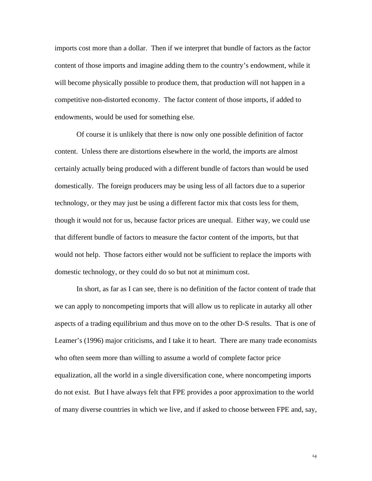imports cost more than a dollar. Then if we interpret that bundle of factors as the factor content of those imports and imagine adding them to the country's endowment, while it will become physically possible to produce them, that production will not happen in a competitive non-distorted economy. The factor content of those imports, if added to endowments, would be used for something else.

Of course it is unlikely that there is now only one possible definition of factor content. Unless there are distortions elsewhere in the world, the imports are almost certainly actually being produced with a different bundle of factors than would be used domestically. The foreign producers may be using less of all factors due to a superior technology, or they may just be using a different factor mix that costs less for them, though it would not for us, because factor prices are unequal. Either way, we could use that different bundle of factors to measure the factor content of the imports, but that would not help. Those factors either would not be sufficient to replace the imports with domestic technology, or they could do so but not at minimum cost.

In short, as far as I can see, there is no definition of the factor content of trade that we can apply to noncompeting imports that will allow us to replicate in autarky all other aspects of a trading equilibrium and thus move on to the other D-S results. That is one of Leamer's (1996) major criticisms, and I take it to heart. There are many trade economists who often seem more than willing to assume a world of complete factor price equalization, all the world in a single diversification cone, where noncompeting imports do not exist. But I have always felt that FPE provides a poor approximation to the world of many diverse countries in which we live, and if asked to choose between FPE and, say,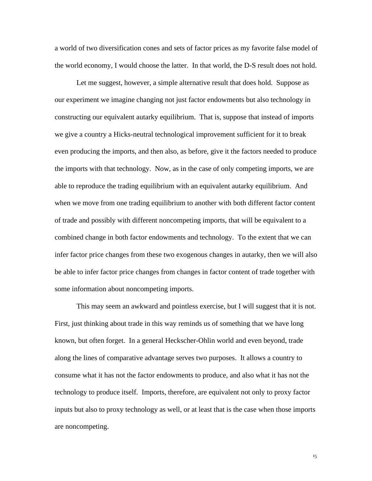a world of two diversification cones and sets of factor prices as my favorite false model of the world economy, I would choose the latter. In that world, the D-S result does not hold.

Let me suggest, however, a simple alternative result that does hold. Suppose as our experiment we imagine changing not just factor endowments but also technology in constructing our equivalent autarky equilibrium. That is, suppose that instead of imports we give a country a Hicks-neutral technological improvement sufficient for it to break even producing the imports, and then also, as before, give it the factors needed to produce the imports with that technology. Now, as in the case of only competing imports, we are able to reproduce the trading equilibrium with an equivalent autarky equilibrium. And when we move from one trading equilibrium to another with both different factor content of trade and possibly with different noncompeting imports, that will be equivalent to a combined change in both factor endowments and technology. To the extent that we can infer factor price changes from these two exogenous changes in autarky, then we will also be able to infer factor price changes from changes in factor content of trade together with some information about noncompeting imports.

This may seem an awkward and pointless exercise, but I will suggest that it is not. First, just thinking about trade in this way reminds us of something that we have long known, but often forget. In a general Heckscher-Ohlin world and even beyond, trade along the lines of comparative advantage serves two purposes. It allows a country to consume what it has not the factor endowments to produce, and also what it has not the technology to produce itself. Imports, therefore, are equivalent not only to proxy factor inputs but also to proxy technology as well, or at least that is the case when those imports are noncompeting.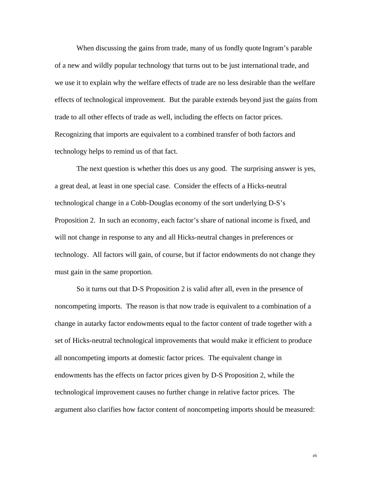When discussing the gains from trade, many of us fondly quote Ingram's parable of a new and wildly popular technology that turns out to be just international trade, and we use it to explain why the welfare effects of trade are no less desirable than the welfare effects of technological improvement. But the parable extends beyond just the gains from trade to all other effects of trade as well, including the effects on factor prices. Recognizing that imports are equivalent to a combined transfer of both factors and technology helps to remind us of that fact.

The next question is whether this does us any good. The surprising answer is yes, a great deal, at least in one special case. Consider the effects of a Hicks-neutral technological change in a Cobb-Douglas economy of the sort underlying D-S's Proposition 2. In such an economy, each factor's share of national income is fixed, and will not change in response to any and all Hicks-neutral changes in preferences or technology. All factors will gain, of course, but if factor endowments do not change they must gain in the same proportion.

So it turns out that D-S Proposition 2 is valid after all, even in the presence of noncompeting imports. The reason is that now trade is equivalent to a combination of a change in autarky factor endowments equal to the factor content of trade together with a set of Hicks-neutral technological improvements that would make it efficient to produce all noncompeting imports at domestic factor prices. The equivalent change in endowments has the effects on factor prices given by D-S Proposition 2, while the technological improvement causes no further change in relative factor prices. The argument also clarifies how factor content of noncompeting imports should be measured: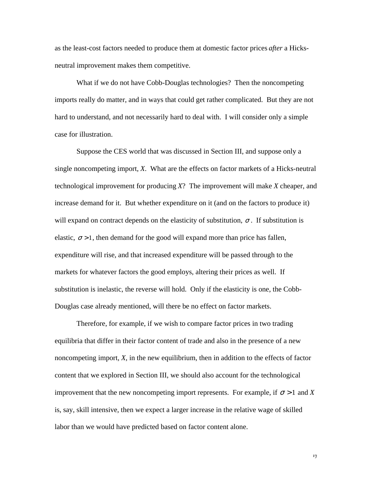as the least-cost factors needed to produce them at domestic factor prices *after* a Hicksneutral improvement makes them competitive.

What if we do not have Cobb-Douglas technologies? Then the noncompeting imports really do matter, and in ways that could get rather complicated. But they are not hard to understand, and not necessarily hard to deal with. I will consider only a simple case for illustration.

Suppose the CES world that was discussed in Section III, and suppose only a single noncompeting import, *X*. What are the effects on factor markets of a Hicks-neutral technological improvement for producing *X*? The improvement will make *X* cheaper, and increase demand for it. But whether expenditure on it (and on the factors to produce it) will expand on contract depends on the elasticity of substitution,  $\sigma$ . If substitution is elastic,  $\sigma > 1$ , then demand for the good will expand more than price has fallen, expenditure will rise, and that increased expenditure will be passed through to the markets for whatever factors the good employs, altering their prices as well. If substitution is inelastic, the reverse will hold. Only if the elasticity is one, the Cobb-Douglas case already mentioned, will there be no effect on factor markets.

Therefore, for example, if we wish to compare factor prices in two trading equilibria that differ in their factor content of trade and also in the presence of a new noncompeting import, *X*, in the new equilibrium, then in addition to the effects of factor content that we explored in Section III, we should also account for the technological improvement that the new noncompeting import represents. For example, if  $\sigma > 1$  and X is, say, skill intensive, then we expect a larger increase in the relative wage of skilled labor than we would have predicted based on factor content alone.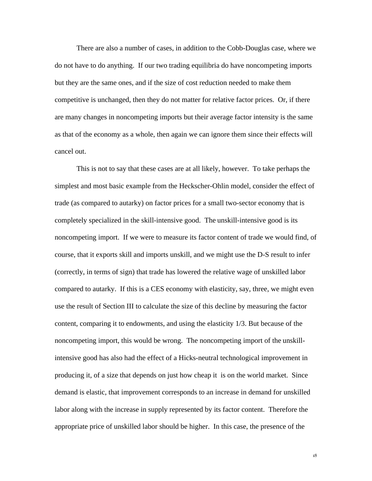There are also a number of cases, in addition to the Cobb-Douglas case, where we do not have to do anything. If our two trading equilibria do have noncompeting imports but they are the same ones, and if the size of cost reduction needed to make them competitive is unchanged, then they do not matter for relative factor prices. Or, if there are many changes in noncompeting imports but their average factor intensity is the same as that of the economy as a whole, then again we can ignore them since their effects will cancel out.

This is not to say that these cases are at all likely, however. To take perhaps the simplest and most basic example from the Heckscher-Ohlin model, consider the effect of trade (as compared to autarky) on factor prices for a small two-sector economy that is completely specialized in the skill-intensive good. The unskill-intensive good is its noncompeting import. If we were to measure its factor content of trade we would find, of course, that it exports skill and imports unskill, and we might use the D-S result to infer (correctly, in terms of sign) that trade has lowered the relative wage of unskilled labor compared to autarky. If this is a CES economy with elasticity, say, three, we might even use the result of Section III to calculate the size of this decline by measuring the factor content, comparing it to endowments, and using the elasticity 1/3. But because of the noncompeting import, this would be wrong. The noncompeting import of the unskillintensive good has also had the effect of a Hicks-neutral technological improvement in producing it, of a size that depends on just how cheap it is on the world market. Since demand is elastic, that improvement corresponds to an increase in demand for unskilled labor along with the increase in supply represented by its factor content. Therefore the appropriate price of unskilled labor should be higher. In this case, the presence of the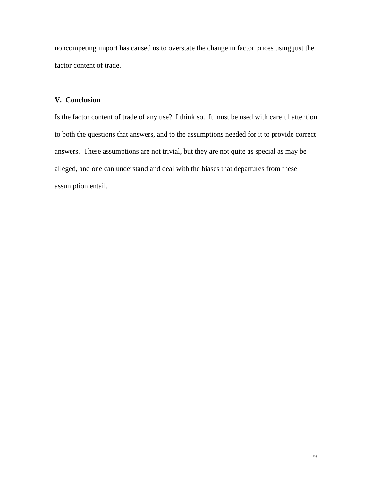noncompeting import has caused us to overstate the change in factor prices using just the factor content of trade.

## **V. Conclusion**

Is the factor content of trade of any use? I think so. It must be used with careful attention to both the questions that answers, and to the assumptions needed for it to provide correct answers. These assumptions are not trivial, but they are not quite as special as may be alleged, and one can understand and deal with the biases that departures from these assumption entail.